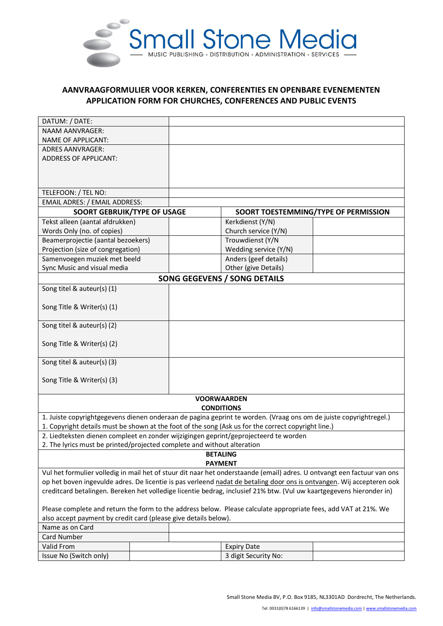

## **AANVRAAGFORMULIER VOOR KERKEN, CONFERENTIES EN OPENBARE EVENEMENTEN APPLICATION FORM FOR CHURCHES, CONFERENCES AND PUBLIC EVENTS**

| DATUM: / DATE:                                                                       |  |                   |                                                                                                                         |                                      |  |
|--------------------------------------------------------------------------------------|--|-------------------|-------------------------------------------------------------------------------------------------------------------------|--------------------------------------|--|
| <b>NAAM AANVRAGER:</b>                                                               |  |                   |                                                                                                                         |                                      |  |
| <b>NAME OF APPLICANT:</b>                                                            |  |                   |                                                                                                                         |                                      |  |
| <b>ADRES AANVRAGER:</b>                                                              |  |                   |                                                                                                                         |                                      |  |
| <b>ADDRESS OF APPLICANT:</b>                                                         |  |                   |                                                                                                                         |                                      |  |
|                                                                                      |  |                   |                                                                                                                         |                                      |  |
|                                                                                      |  |                   |                                                                                                                         |                                      |  |
|                                                                                      |  |                   |                                                                                                                         |                                      |  |
| TELEFOON: / TEL NO:                                                                  |  |                   |                                                                                                                         |                                      |  |
| <b>EMAIL ADRES: / EMAIL ADDRESS:</b>                                                 |  |                   |                                                                                                                         |                                      |  |
| <b>SOORT GEBRUIK/TYPE OF USAGE</b>                                                   |  |                   |                                                                                                                         | SOORT TOESTEMMING/TYPE OF PERMISSION |  |
| Tekst alleen (aantal afdrukken)                                                      |  |                   | Kerkdienst (Y/N)                                                                                                        |                                      |  |
| Words Only (no. of copies)                                                           |  |                   | Church service (Y/N)                                                                                                    |                                      |  |
| Beamerprojectie (aantal bezoekers)                                                   |  |                   | Trouwdienst (Y/N                                                                                                        |                                      |  |
| Projection (size of congregation)                                                    |  |                   | Wedding service (Y/N)                                                                                                   |                                      |  |
| Samenvoegen muziek met beeld                                                         |  |                   | Anders (geef details)                                                                                                   |                                      |  |
| Sync Music and visual media                                                          |  |                   | Other (give Details)                                                                                                    |                                      |  |
|                                                                                      |  |                   | <b>SONG GEGEVENS / SONG DETAILS</b>                                                                                     |                                      |  |
| Song titel & auteur(s) (1)                                                           |  |                   |                                                                                                                         |                                      |  |
|                                                                                      |  |                   |                                                                                                                         |                                      |  |
| Song Title & Writer(s) (1)                                                           |  |                   |                                                                                                                         |                                      |  |
|                                                                                      |  |                   |                                                                                                                         |                                      |  |
| Song titel & auteur(s) (2)                                                           |  |                   |                                                                                                                         |                                      |  |
|                                                                                      |  |                   |                                                                                                                         |                                      |  |
| Song Title & Writer(s) (2)                                                           |  |                   |                                                                                                                         |                                      |  |
|                                                                                      |  |                   |                                                                                                                         |                                      |  |
| Song titel & auteur(s) (3)                                                           |  |                   |                                                                                                                         |                                      |  |
|                                                                                      |  |                   |                                                                                                                         |                                      |  |
| Song Title & Writer(s) (3)                                                           |  |                   |                                                                                                                         |                                      |  |
|                                                                                      |  |                   |                                                                                                                         |                                      |  |
|                                                                                      |  |                   | <b>VOORWAARDEN</b>                                                                                                      |                                      |  |
|                                                                                      |  | <b>CONDITIONS</b> |                                                                                                                         |                                      |  |
|                                                                                      |  |                   | 1. Juiste copyrightgegevens dienen onderaan de pagina geprint te worden. (Vraag ons om de juiste copyrightregel.)       |                                      |  |
|                                                                                      |  |                   | 1. Copyright details must be shown at the foot of the song (Ask us for the correct copyright line.)                     |                                      |  |
| 2. Liedteksten dienen compleet en zonder wijzigingen geprint/geprojecteerd te worden |  |                   |                                                                                                                         |                                      |  |
| 2. The lyrics must be printed/projected complete and without alteration              |  |                   |                                                                                                                         |                                      |  |
|                                                                                      |  |                   | <b>BETALING</b>                                                                                                         |                                      |  |
| <b>PAYMENT</b>                                                                       |  |                   |                                                                                                                         |                                      |  |
|                                                                                      |  |                   | Vul het formulier volledig in mail het of stuur dit naar het onderstaande (email) adres. U ontvangt een factuur van ons |                                      |  |
|                                                                                      |  |                   | op het boven ingevulde adres. De licentie is pas verleend nadat de betaling door ons is ontvangen. Wij accepteren ook   |                                      |  |
|                                                                                      |  |                   | creditcard betalingen. Bereken het volledige licentie bedrag, inclusief 21% btw. (Vul uw kaartgegevens hieronder in)    |                                      |  |
|                                                                                      |  |                   |                                                                                                                         |                                      |  |
|                                                                                      |  |                   | Please complete and return the form to the address below. Please calculate appropriate fees, add VAT at 21%. We         |                                      |  |
| also accept payment by credit card (please give details below).                      |  |                   |                                                                                                                         |                                      |  |
| Name as on Card                                                                      |  |                   |                                                                                                                         |                                      |  |
| Card Number                                                                          |  |                   |                                                                                                                         |                                      |  |
| Valid From                                                                           |  |                   | <b>Expiry Date</b>                                                                                                      |                                      |  |
| Issue No (Switch only)                                                               |  |                   | 3 digit Security No:                                                                                                    |                                      |  |
|                                                                                      |  |                   |                                                                                                                         |                                      |  |